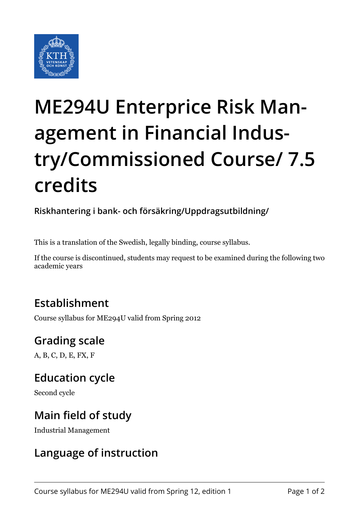

# **ME294U Enterprice Risk Management in Financial Industry/Commissioned Course/ 7.5 credits**

**Riskhantering i bank- och försäkring/Uppdragsutbildning/**

This is a translation of the Swedish, legally binding, course syllabus.

If the course is discontinued, students may request to be examined during the following two academic years

# **Establishment**

Course syllabus for ME294U valid from Spring 2012

# **Grading scale**

A, B, C, D, E, FX, F

# **Education cycle**

Second cycle

#### **Main field of study**

Industrial Management

#### **Language of instruction**